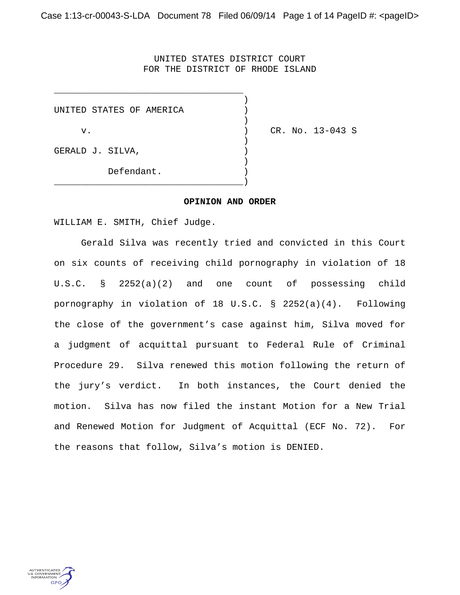## UNITED STATES DISTRICT COURT FOR THE DISTRICT OF RHODE ISLAND

)

|                  | UNITED STATES OF AMERICA |  |
|------------------|--------------------------|--|
| v.               |                          |  |
| GERALD J. SILVA, |                          |  |
|                  | Defendant.               |  |

\_\_\_\_\_\_\_\_\_\_\_\_\_\_\_\_\_\_\_\_\_\_\_\_\_\_\_\_\_\_\_\_\_\_\_

) CR. No. 13-043 S

## **OPINION AND ORDER**

WILLIAM E. SMITH, Chief Judge.

Gerald Silva was recently tried and convicted in this Court on six counts of receiving child pornography in violation of 18 U.S.C. § 2252(a)(2) and one count of possessing child pornography in violation of 18 U.S.C. § 2252(a)(4). Following the close of the government's case against him, Silva moved for a judgment of acquittal pursuant to Federal Rule of Criminal Procedure 29. Silva renewed this motion following the return of the jury's verdict. In both instances, the Court denied the motion. Silva has now filed the instant Motion for a New Trial and Renewed Motion for Judgment of Acquittal (ECF No. 72). For the reasons that follow, Silva's motion is DENIED.

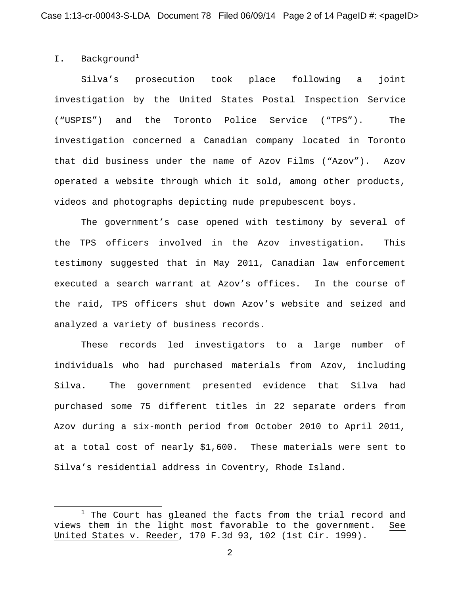## I. Background<sup>1</sup>

 $\overline{\phantom{a}}$ 

Silva's prosecution took place following a joint investigation by the United States Postal Inspection Service ("USPIS") and the Toronto Police Service ("TPS"). The investigation concerned a Canadian company located in Toronto that did business under the name of Azov Films ("Azov"). Azov operated a website through which it sold, among other products, videos and photographs depicting nude prepubescent boys.

The government's case opened with testimony by several of the TPS officers involved in the Azov investigation. This testimony suggested that in May 2011, Canadian law enforcement executed a search warrant at Azov's offices. In the course of the raid, TPS officers shut down Azov's website and seized and analyzed a variety of business records.

These records led investigators to a large number of individuals who had purchased materials from Azov, including Silva. The government presented evidence that Silva had purchased some 75 different titles in 22 separate orders from Azov during a six-month period from October 2010 to April 2011, at a total cost of nearly \$1,600. These materials were sent to Silva's residential address in Coventry, Rhode Island.

 $1$  The Court has gleaned the facts from the trial record and views them in the light most favorable to the government. See United States v. Reeder, 170 F.3d 93, 102 (1st Cir. 1999).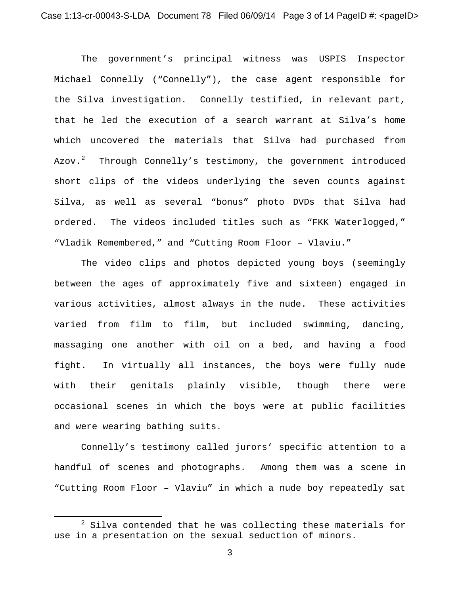The government's principal witness was USPIS Inspector Michael Connelly ("Connelly"), the case agent responsible for the Silva investigation. Connelly testified, in relevant part, that he led the execution of a search warrant at Silva's home which uncovered the materials that Silva had purchased from Azov.<sup>2</sup> Through Connelly's testimony, the government introduced short clips of the videos underlying the seven counts against Silva, as well as several "bonus" photo DVDs that Silva had ordered. The videos included titles such as "FKK Waterlogged," "Vladik Remembered," and "Cutting Room Floor – Vlaviu."

The video clips and photos depicted young boys (seemingly between the ages of approximately five and sixteen) engaged in various activities, almost always in the nude. These activities varied from film to film, but included swimming, dancing, massaging one another with oil on a bed, and having a food fight. In virtually all instances, the boys were fully nude with their genitals plainly visible, though there were occasional scenes in which the boys were at public facilities and were wearing bathing suits.

Connelly's testimony called jurors' specific attention to a handful of scenes and photographs. Among them was a scene in "Cutting Room Floor – Vlaviu" in which a nude boy repeatedly sat

 $\overline{\phantom{a}}$ 

 $2$  Silva contended that he was collecting these materials for use in a presentation on the sexual seduction of minors.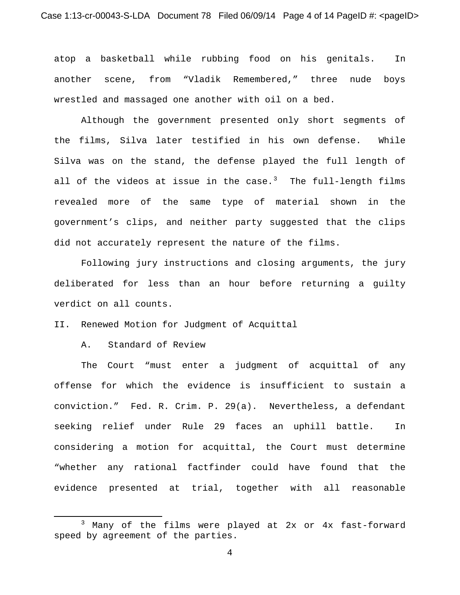atop a basketball while rubbing food on his genitals. In another scene, from "Vladik Remembered," three nude boys wrestled and massaged one another with oil on a bed.

Although the government presented only short segments of the films, Silva later testified in his own defense. While Silva was on the stand, the defense played the full length of all of the videos at issue in the  $case.^3$  The full-length films revealed more of the same type of material shown in the government's clips, and neither party suggested that the clips did not accurately represent the nature of the films.

Following jury instructions and closing arguments, the jury deliberated for less than an hour before returning a guilty verdict on all counts.

II. Renewed Motion for Judgment of Acquittal

A. Standard of Review

 $\overline{\phantom{a}}$ 

The Court "must enter a judgment of acquittal of any offense for which the evidence is insufficient to sustain a conviction." Fed. R. Crim. P. 29(a). Nevertheless, a defendant seeking relief under Rule 29 faces an uphill battle. In considering a motion for acquittal, the Court must determine "whether any rational factfinder could have found that the evidence presented at trial, together with all reasonable

<sup>3</sup> Many of the films were played at 2x or 4x fast-forward speed by agreement of the parties.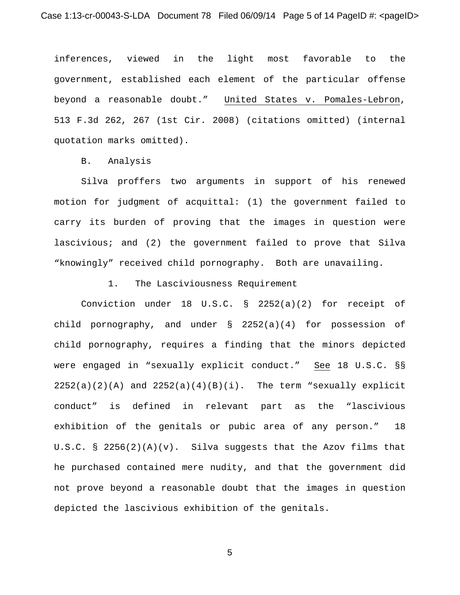inferences, viewed in the light most favorable to the government, established each element of the particular offense beyond a reasonable doubt." United States v. Pomales-Lebron, 513 F.3d 262, 267 (1st Cir. 2008) (citations omitted) (internal quotation marks omitted).

B. Analysis

Silva proffers two arguments in support of his renewed motion for judgment of acquittal: (1) the government failed to carry its burden of proving that the images in question were lascivious; and (2) the government failed to prove that Silva "knowingly" received child pornography. Both are unavailing.

1. The Lasciviousness Requirement

Conviction under 18 U.S.C. § 2252(a)(2) for receipt of child pornography, and under § 2252(a)(4) for possession of child pornography, requires a finding that the minors depicted were engaged in "sexually explicit conduct." See 18 U.S.C. §§  $2252(a)(2)(A)$  and  $2252(a)(4)(B)(i)$ . The term "sexually explicit conduct" is defined in relevant part as the "lascivious exhibition of the genitals or pubic area of any person." 18 U.S.C. § 2256(2)(A)(v). Silva suggests that the Azov films that he purchased contained mere nudity, and that the government did not prove beyond a reasonable doubt that the images in question depicted the lascivious exhibition of the genitals.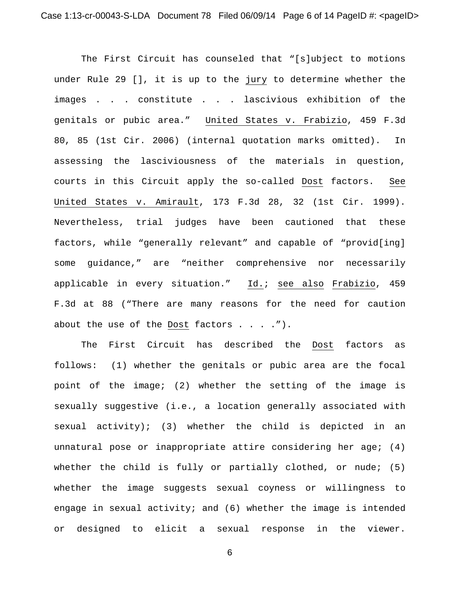The First Circuit has counseled that "[s]ubject to motions under Rule 29 [], it is up to the jury to determine whether the images . . . constitute . . . lascivious exhibition of the genitals or pubic area." United States v. Frabizio, 459 F.3d 80, 85 (1st Cir. 2006) (internal quotation marks omitted). In assessing the lasciviousness of the materials in question, courts in this Circuit apply the so-called Dost factors. See United States v. Amirault, 173 F.3d 28, 32 (1st Cir. 1999). Nevertheless, trial judges have been cautioned that these factors, while "generally relevant" and capable of "provid[ing] some guidance," are "neither comprehensive nor necessarily applicable in every situation." Id.; see also Frabizio, 459 F.3d at 88 ("There are many reasons for the need for caution about the use of the Dost factors  $\dots$ .").

The First Circuit has described the Dost factors as follows: (1) whether the genitals or pubic area are the focal point of the image; (2) whether the setting of the image is sexually suggestive (i.e., a location generally associated with sexual activity); (3) whether the child is depicted in an unnatural pose or inappropriate attire considering her age; (4) whether the child is fully or partially clothed, or nude; (5) whether the image suggests sexual coyness or willingness to engage in sexual activity; and (6) whether the image is intended or designed to elicit a sexual response in the viewer.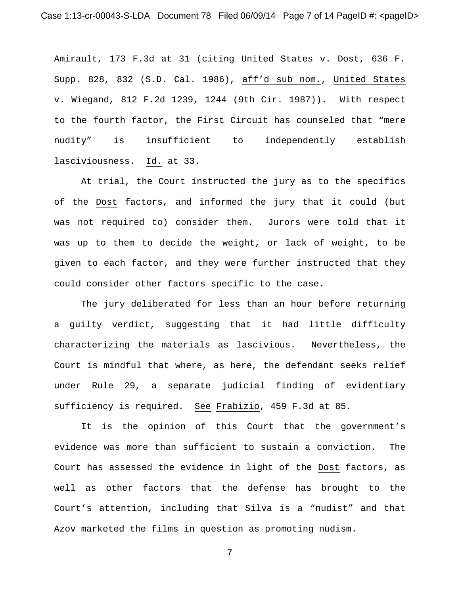Amirault, 173 F.3d at 31 (citing United States v. Dost, 636 F. Supp. 828, 832 (S.D. Cal. 1986), aff'd sub nom., United States v. Wiegand, 812 F.2d 1239, 1244 (9th Cir. 1987)). With respect to the fourth factor, the First Circuit has counseled that "mere nudity" is insufficient to independently establish lasciviousness. Id. at 33.

At trial, the Court instructed the jury as to the specifics of the Dost factors, and informed the jury that it could (but was not required to) consider them. Jurors were told that it was up to them to decide the weight, or lack of weight, to be given to each factor, and they were further instructed that they could consider other factors specific to the case.

The jury deliberated for less than an hour before returning a guilty verdict, suggesting that it had little difficulty characterizing the materials as lascivious. Nevertheless, the Court is mindful that where, as here, the defendant seeks relief under Rule 29, a separate judicial finding of evidentiary sufficiency is required. See Frabizio, 459 F.3d at 85.

It is the opinion of this Court that the government's evidence was more than sufficient to sustain a conviction. The Court has assessed the evidence in light of the Dost factors, as well as other factors that the defense has brought to the Court's attention, including that Silva is a "nudist" and that Azov marketed the films in question as promoting nudism.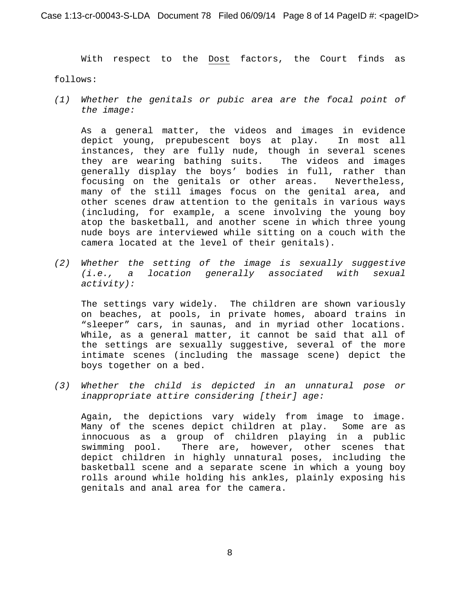With respect to the Dost factors, the Court finds as

follows:

*(1) Whether the genitals or pubic area are the focal point of the image:*

As a general matter, the videos and images in evidence depict young, prepubescent boys at play. In most all instances, they are fully nude, though in several scenes they are wearing bathing suits. The videos and images generally display the boys' bodies in full, rather than<br>focusing on the genitals or other areas. Nevertheless, focusing on the genitals or other areas. many of the still images focus on the genital area, and other scenes draw attention to the genitals in various ways (including, for example, a scene involving the young boy atop the basketball, and another scene in which three young nude boys are interviewed while sitting on a couch with the camera located at the level of their genitals).

*(2) Whether the setting of the image is sexually suggestive (i.e., a location generally associated with sexual activity):*

The settings vary widely. The children are shown variously on beaches, at pools, in private homes, aboard trains in "sleeper" cars, in saunas, and in myriad other locations. While, as a general matter, it cannot be said that all of the settings are sexually suggestive, several of the more intimate scenes (including the massage scene) depict the boys together on a bed.

*(3) Whether the child is depicted in an unnatural pose or inappropriate attire considering [their] age:*

Again, the depictions vary widely from image to image. Many of the scenes depict children at play. Some are as innocuous as a group of children playing in a public There are, however, other scenes that depict children in highly unnatural poses, including the basketball scene and a separate scene in which a young boy rolls around while holding his ankles, plainly exposing his genitals and anal area for the camera.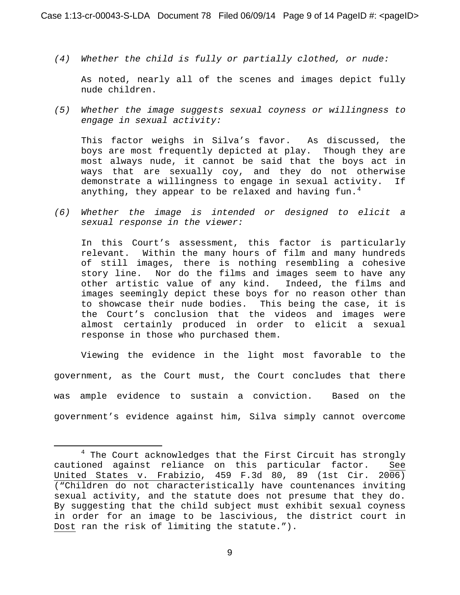*(4) Whether the child is fully or partially clothed, or nude:*

As noted, nearly all of the scenes and images depict fully nude children.

*(5) Whether the image suggests sexual coyness or willingness to engage in sexual activity:*

This factor weighs in Silva's favor. As discussed, the boys are most frequently depicted at play. Though they are most always nude, it cannot be said that the boys act in ways that are sexually coy, and they do not otherwise<br>demonstrate a willingness to engage in sexual activity. If demonstrate a willingness to engage in sexual activity. anything, they appear to be relaxed and having fun.<sup>4</sup>

*(6) Whether the image is intended or designed to elicit a sexual response in the viewer:*

In this Court's assessment, this factor is particularly relevant. Within the many hours of film and many hundreds of still images, there is nothing resembling a cohesive story line. Nor do the films and images seem to have any other artistic value of any kind. Indeed, the films and images seemingly depict these boys for no reason other than to showcase their nude bodies. This being the case, it is the Court's conclusion that the videos and images were almost certainly produced in order to elicit a sexual response in those who purchased them.

Viewing the evidence in the light most favorable to the government, as the Court must, the Court concludes that there was ample evidence to sustain a conviction. Based on the government's evidence against him, Silva simply cannot overcome

l

<sup>&</sup>lt;sup>4</sup> The Court acknowledges that the First Circuit has strongly cautioned against reliance on this particular factor. See United States v. Frabizio, 459 F.3d 80, 89 (1st Cir. 2006) ("Children do not characteristically have countenances inviting sexual activity, and the statute does not presume that they do. By suggesting that the child subject must exhibit sexual coyness in order for an image to be lascivious, the district court in Dost ran the risk of limiting the statute.").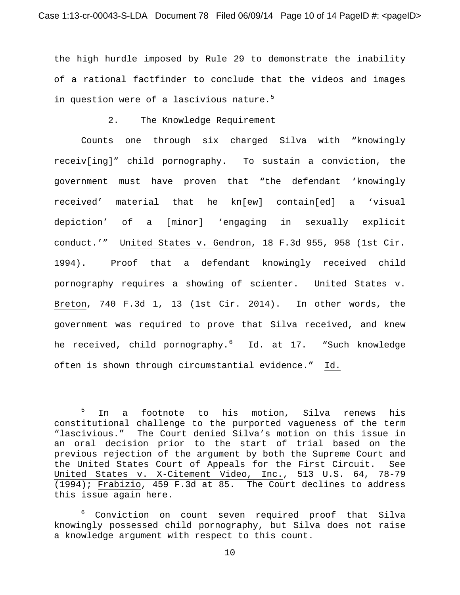the high hurdle imposed by Rule 29 to demonstrate the inability of a rational factfinder to conclude that the videos and images in question were of a lascivious nature. $5$ 

2. The Knowledge Requirement

Counts one through six charged Silva with "knowingly receiv[ing]" child pornography. To sustain a conviction, the government must have proven that "the defendant 'knowingly received' material that he kn[ew] contain[ed] a 'visual depiction' of a [minor] 'engaging in sexually explicit conduct.'" United States v. Gendron, 18 F.3d 955, 958 (1st Cir. 1994). Proof that a defendant knowingly received child pornography requires a showing of scienter. United States v. Breton, 740 F.3d 1, 13 (1st Cir. 2014). In other words, the government was required to prove that Silva received, and knew he received, child pornography.<sup>6</sup> <u>Id.</u> at 17. "Such knowledge often is shown through circumstantial evidence." Id.

l

<sup>&</sup>lt;sup>5</sup> In a footnote to his motion, Silva renews his constitutional challenge to the purported vagueness of the term "lascivious." The Court denied Silva's motion on this issue in an oral decision prior to the start of trial based on the previous rejection of the argument by both the Supreme Court and the United States Court of Appeals for the First Circuit. See United States v. X-Citement Video, Inc., 513 U.S. 64, 78-79 (1994); Frabizio, 459 F.3d at 85. The Court declines to address this issue again here.

<sup>&</sup>lt;sup>6</sup> Conviction on count seven required proof that Silva knowingly possessed child pornography, but Silva does not raise a knowledge argument with respect to this count.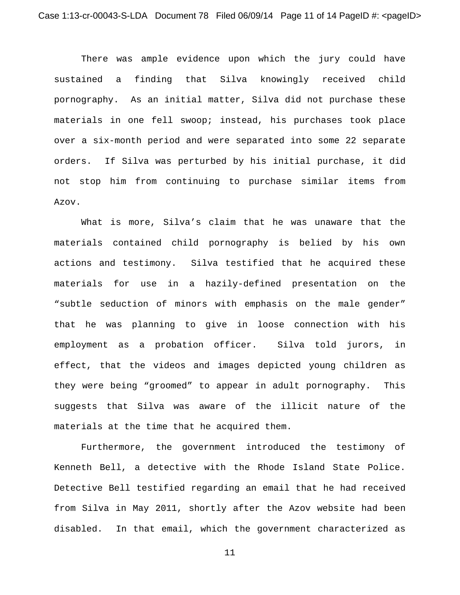There was ample evidence upon which the jury could have sustained a finding that Silva knowingly received child pornography. As an initial matter, Silva did not purchase these materials in one fell swoop; instead, his purchases took place over a six-month period and were separated into some 22 separate orders. If Silva was perturbed by his initial purchase, it did not stop him from continuing to purchase similar items from Azov.

What is more, Silva's claim that he was unaware that the materials contained child pornography is belied by his own actions and testimony. Silva testified that he acquired these materials for use in a hazily-defined presentation on the "subtle seduction of minors with emphasis on the male gender" that he was planning to give in loose connection with his employment as a probation officer. Silva told jurors, in effect, that the videos and images depicted young children as they were being "groomed" to appear in adult pornography. This suggests that Silva was aware of the illicit nature of the materials at the time that he acquired them.

Furthermore, the government introduced the testimony of Kenneth Bell, a detective with the Rhode Island State Police. Detective Bell testified regarding an email that he had received from Silva in May 2011, shortly after the Azov website had been disabled. In that email, which the government characterized as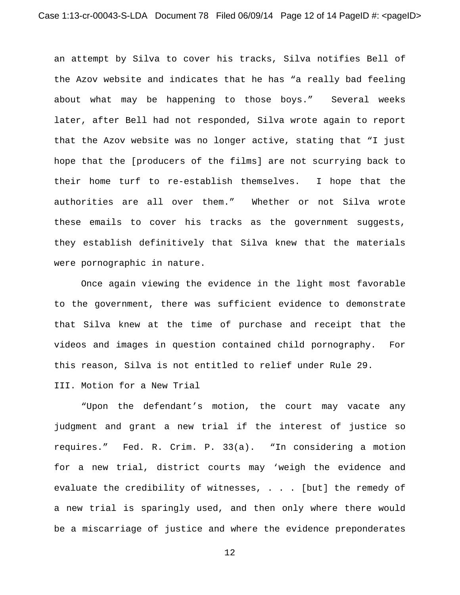an attempt by Silva to cover his tracks, Silva notifies Bell of the Azov website and indicates that he has "a really bad feeling about what may be happening to those boys." Several weeks later, after Bell had not responded, Silva wrote again to report that the Azov website was no longer active, stating that "I just hope that the [producers of the films] are not scurrying back to their home turf to re-establish themselves. I hope that the authorities are all over them." Whether or not Silva wrote these emails to cover his tracks as the government suggests, they establish definitively that Silva knew that the materials were pornographic in nature.

Once again viewing the evidence in the light most favorable to the government, there was sufficient evidence to demonstrate that Silva knew at the time of purchase and receipt that the videos and images in question contained child pornography. For this reason, Silva is not entitled to relief under Rule 29.

III. Motion for a New Trial

"Upon the defendant's motion, the court may vacate any judgment and grant a new trial if the interest of justice so requires." Fed. R. Crim. P. 33(a). "In considering a motion for a new trial, district courts may 'weigh the evidence and evaluate the credibility of witnesses, . . . [but] the remedy of a new trial is sparingly used, and then only where there would be a miscarriage of justice and where the evidence preponderates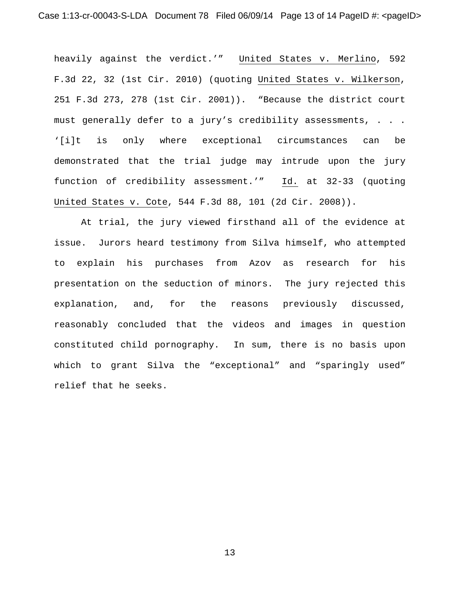heavily against the verdict.'" United States v. Merlino, 592 F.3d 22, 32 (1st Cir. 2010) (quoting United States v. Wilkerson, 251 F.3d 273, 278 (1st Cir. 2001)). "Because the district court must generally defer to a jury's credibility assessments, . . . '[i]t is only where exceptional circumstances can be demonstrated that the trial judge may intrude upon the jury function of credibility assessment.'" Id. at 32-33 (quoting United States v. Cote, 544 F.3d 88, 101 (2d Cir. 2008)).

At trial, the jury viewed firsthand all of the evidence at issue. Jurors heard testimony from Silva himself, who attempted to explain his purchases from Azov as research for his presentation on the seduction of minors. The jury rejected this explanation, and, for the reasons previously discussed, reasonably concluded that the videos and images in question constituted child pornography. In sum, there is no basis upon which to grant Silva the "exceptional" and "sparingly used" relief that he seeks.